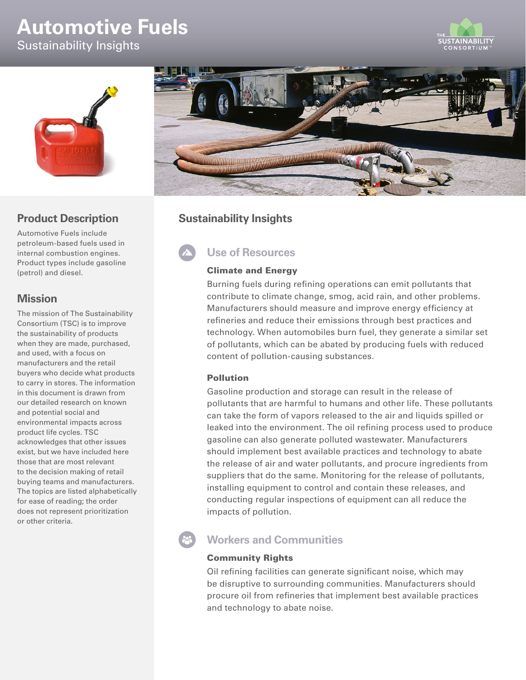# **Automotive Fuels**







## **Product Description**

Automotive Fuels include petroleum-based fuels used in internal combustion engines. Product types include gasoline (petrol) and diesel.

### **Mission**

The mission of The Sustainability Consortium (TSC) is to improve the sustainability of products when they are made, purchased, and used, with a focus on manufacturers and the retail buyers who decide what products to carry in stores. The information in this document is drawn from our detailed research on known and potential social and environmental impacts across product life cycles. TSC acknowledges that other issues exist, but we have included here those that are most relevant to the decision making of retail buying teams and manufacturers. The topics are listed alphabetically for ease of reading; the order does not represent prioritization or other criteria.



## **Sustainability Insights**

# **Use of Resources**

#### Climate and Energy

Burning fuels during refining operations can emit pollutants that contribute to climate change, smog, acid rain, and other problems. Manufacturers should measure and improve energy efficiency at refineries and reduce their emissions through best practices and technology. When automobiles burn fuel, they generate a similar set of pollutants, which can be abated by producing fuels with reduced content of pollution-causing substances.

#### Pollution

Gasoline production and storage can result in the release of pollutants that are harmful to humans and other life. These pollutants can take the form of vapors released to the air and liquids spilled or leaked into the environment. The oil refining process used to produce gasoline can also generate polluted wastewater. Manufacturers should implement best available practices and technology to abate the release of air and water pollutants, and procure ingredients from suppliers that do the same. Monitoring for the release of pollutants, installing equipment to control and contain these releases, and conducting regular inspections of equipment can all reduce the impacts of pollution.

## **Workers and Communities**

#### Community Rights

Oil refining facilities can generate significant noise, which may be disruptive to surrounding communities. Manufacturers should procure oil from refineries that implement best available practices and technology to abate noise.